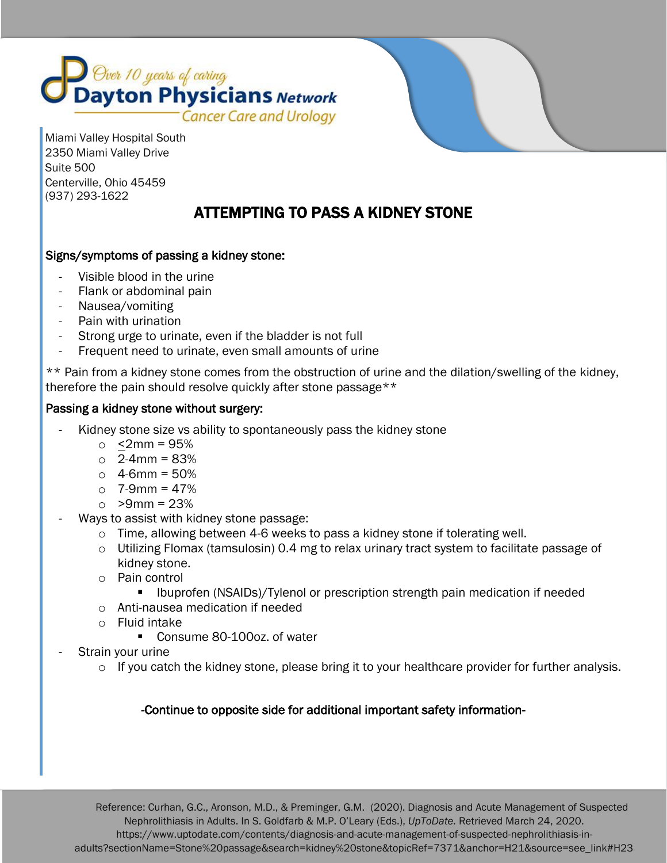

 Miami Valley Hospital South 2350 Miami Valley Drive Suite 500 Centerville, Ohio 45459 (937) 293-1622

# ATTEMPTING TO PASS A KIDNEY STONE

# Signs/symptoms of passing a kidney stone:

- Visible blood in the urine
- Flank or abdominal pain
- Nausea/vomiting
- Pain with urination
- Strong urge to urinate, even if the bladder is not full
- Frequent need to urinate, even small amounts of urine

\*\* Pain from a kidney stone comes from the obstruction of urine and the dilation/swelling of the kidney, therefore the pain should resolve quickly after stone passage\*\*

#### Passing a kidney stone without surgery:

- Kidney stone size vs ability to spontaneously pass the kidney stone
	- $\circ$  <2mm = 95%
	- $\circ$  2-4mm = 83%
	- $\circ$  4-6mm = 50%
	- $\circ$  7-9mm = 47%
	- $\circ$  >9mm = 23%
- Ways to assist with kidney stone passage:
	- o Time, allowing between 4-6 weeks to pass a kidney stone if tolerating well.
	- $\circ$  Utilizing Flomax (tamsulosin) 0.4 mg to relax urinary tract system to facilitate passage of kidney stone.
	- o Pain control
		- Ibuprofen (NSAIDs)/Tylenol or prescription strength pain medication if needed
	- o Anti-nausea medication if needed
	- o Fluid intake
		- Consume 80-100oz. of water
- Strain your urine

í

 $\circ$  If you catch the kidney stone, please bring it to your healthcare provider for further analysis.

## -Continue to opposite side for additional important safety information-

 Reference: Curhan, G.C., Aronson, M.D., & Preminger, G.M. (2020). Diagnosis and Acute Management of Suspected Nephrolithiasis in Adults. In S. Goldfarb & M.P. O'Leary (Eds.), *UpToDate.* Retrieved March 24, 2020. https://www.uptodate.com/contents/diagnosis-and-acute-management-of-suspected-nephrolithiasis-inadults?sectionName=Stone%20passage&search=kidney%20stone&topicRef=7371&anchor=H21&source=see\_link#H23